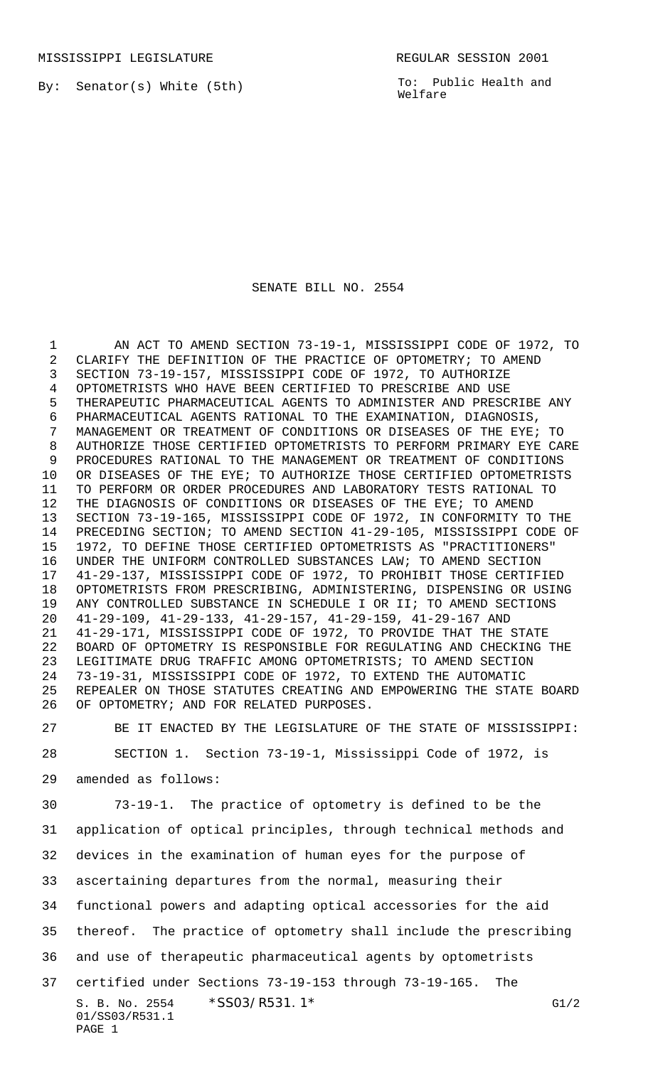By: Senator(s) White (5th)

To: Public Health and Welfare

## SENATE BILL NO. 2554

 AN ACT TO AMEND SECTION 73-19-1, MISSISSIPPI CODE OF 1972, TO CLARIFY THE DEFINITION OF THE PRACTICE OF OPTOMETRY; TO AMEND SECTION 73-19-157, MISSISSIPPI CODE OF 1972, TO AUTHORIZE OPTOMETRISTS WHO HAVE BEEN CERTIFIED TO PRESCRIBE AND USE THERAPEUTIC PHARMACEUTICAL AGENTS TO ADMINISTER AND PRESCRIBE ANY PHARMACEUTICAL AGENTS RATIONAL TO THE EXAMINATION, DIAGNOSIS, MANAGEMENT OR TREATMENT OF CONDITIONS OR DISEASES OF THE EYE; TO AUTHORIZE THOSE CERTIFIED OPTOMETRISTS TO PERFORM PRIMARY EYE CARE PROCEDURES RATIONAL TO THE MANAGEMENT OR TREATMENT OF CONDITIONS OR DISEASES OF THE EYE; TO AUTHORIZE THOSE CERTIFIED OPTOMETRISTS TO PERFORM OR ORDER PROCEDURES AND LABORATORY TESTS RATIONAL TO THE DIAGNOSIS OF CONDITIONS OR DISEASES OF THE EYE; TO AMEND SECTION 73-19-165, MISSISSIPPI CODE OF 1972, IN CONFORMITY TO THE PRECEDING SECTION; TO AMEND SECTION 41-29-105, MISSISSIPPI CODE OF 1972, TO DEFINE THOSE CERTIFIED OPTOMETRISTS AS "PRACTITIONERS" UNDER THE UNIFORM CONTROLLED SUBSTANCES LAW; TO AMEND SECTION 41-29-137, MISSISSIPPI CODE OF 1972, TO PROHIBIT THOSE CERTIFIED OPTOMETRISTS FROM PRESCRIBING, ADMINISTERING, DISPENSING OR USING ANY CONTROLLED SUBSTANCE IN SCHEDULE I OR II; TO AMEND SECTIONS 41-29-109, 41-29-133, 41-29-157, 41-29-159, 41-29-167 AND 41-29-171, MISSISSIPPI CODE OF 1972, TO PROVIDE THAT THE STATE BOARD OF OPTOMETRY IS RESPONSIBLE FOR REGULATING AND CHECKING THE LEGITIMATE DRUG TRAFFIC AMONG OPTOMETRISTS; TO AMEND SECTION 73-19-31, MISSISSIPPI CODE OF 1972, TO EXTEND THE AUTOMATIC REPEALER ON THOSE STATUTES CREATING AND EMPOWERING THE STATE BOARD OF OPTOMETRY; AND FOR RELATED PURPOSES.

 BE IT ENACTED BY THE LEGISLATURE OF THE STATE OF MISSISSIPPI: SECTION 1. Section 73-19-1, Mississippi Code of 1972, is amended as follows:

S. B. No. 2554 \* SS03/R531.1\* G1/2 01/SS03/R531.1 PAGE 1 73-19-1. The practice of optometry is defined to be the application of optical principles, through technical methods and devices in the examination of human eyes for the purpose of ascertaining departures from the normal, measuring their functional powers and adapting optical accessories for the aid thereof. The practice of optometry shall include the prescribing and use of therapeutic pharmaceutical agents by optometrists certified under Sections 73-19-153 through 73-19-165. The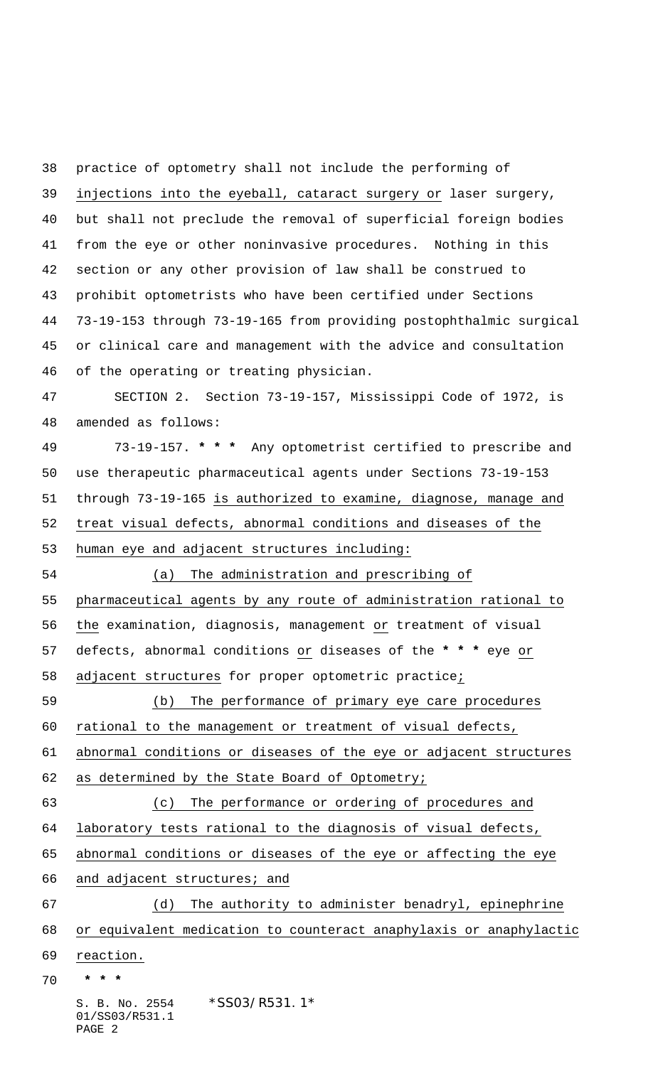S. B. No. 2554 \*SS03/R531.1\* 01/SS03/R531.1 practice of optometry shall not include the performing of injections into the eyeball, cataract surgery or laser surgery, but shall not preclude the removal of superficial foreign bodies from the eye or other noninvasive procedures. Nothing in this section or any other provision of law shall be construed to prohibit optometrists who have been certified under Sections 73-19-153 through 73-19-165 from providing postophthalmic surgical or clinical care and management with the advice and consultation of the operating or treating physician. SECTION 2. Section 73-19-157, Mississippi Code of 1972, is amended as follows: 73-19-157. **\* \* \*** Any optometrist certified to prescribe and use therapeutic pharmaceutical agents under Sections 73-19-153 through 73-19-165 is authorized to examine, diagnose, manage and treat visual defects, abnormal conditions and diseases of the human eye and adjacent structures including: (a) The administration and prescribing of pharmaceutical agents by any route of administration rational to the examination, diagnosis, management or treatment of visual defects, abnormal conditions or diseases of the **\* \* \*** eye or adjacent structures for proper optometric practice; (b) The performance of primary eye care procedures rational to the management or treatment of visual defects, abnormal conditions or diseases of the eye or adjacent structures 62 as determined by the State Board of Optometry; (c) The performance or ordering of procedures and laboratory tests rational to the diagnosis of visual defects, abnormal conditions or diseases of the eye or affecting the eye and adjacent structures; and (d) The authority to administer benadryl, epinephrine or equivalent medication to counteract anaphylaxis or anaphylactic reaction.  **\* \* \***

PAGE 2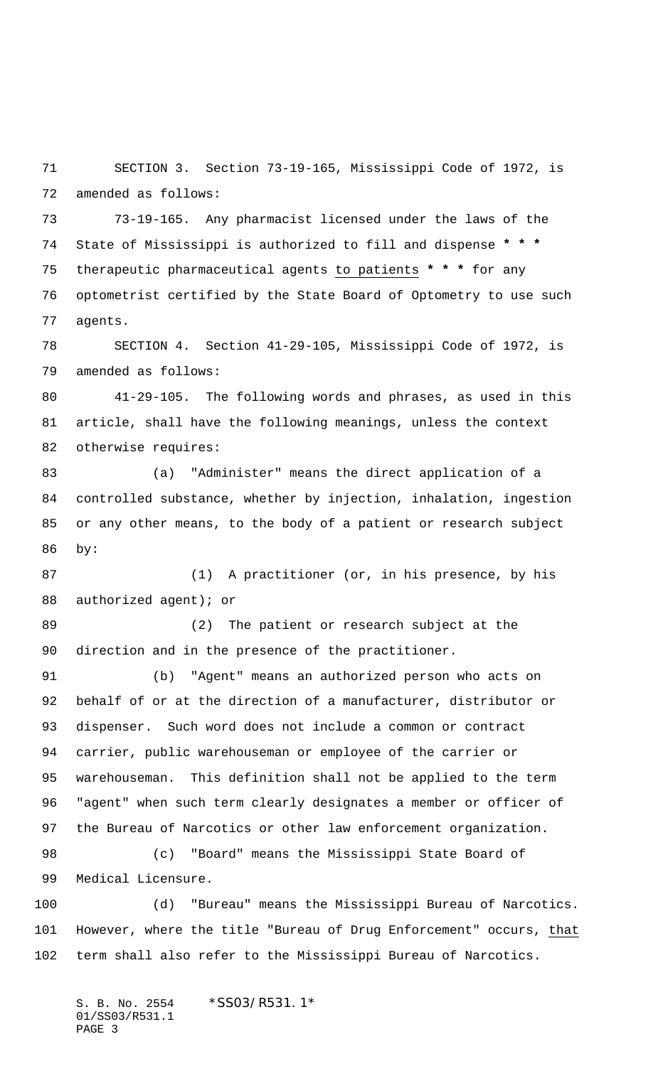SECTION 3. Section 73-19-165, Mississippi Code of 1972, is amended as follows:

 73-19-165. Any pharmacist licensed under the laws of the State of Mississippi is authorized to fill and dispense **\* \* \*** therapeutic pharmaceutical agents to patients **\* \* \*** for any optometrist certified by the State Board of Optometry to use such agents.

 SECTION 4. Section 41-29-105, Mississippi Code of 1972, is amended as follows:

 41-29-105. The following words and phrases, as used in this article, shall have the following meanings, unless the context otherwise requires:

 (a) "Administer" means the direct application of a controlled substance, whether by injection, inhalation, ingestion or any other means, to the body of a patient or research subject by:

 (1) A practitioner (or, in his presence, by his 88 authorized agent); or

 (2) The patient or research subject at the direction and in the presence of the practitioner.

 (b) "Agent" means an authorized person who acts on behalf of or at the direction of a manufacturer, distributor or dispenser. Such word does not include a common or contract carrier, public warehouseman or employee of the carrier or warehouseman. This definition shall not be applied to the term "agent" when such term clearly designates a member or officer of the Bureau of Narcotics or other law enforcement organization.

 (c) "Board" means the Mississippi State Board of Medical Licensure.

 (d) "Bureau" means the Mississippi Bureau of Narcotics. However, where the title "Bureau of Drug Enforcement" occurs, that term shall also refer to the Mississippi Bureau of Narcotics.

S. B. No. 2554 \*SS03/R531.1\* 01/SS03/R531.1 PAGE 3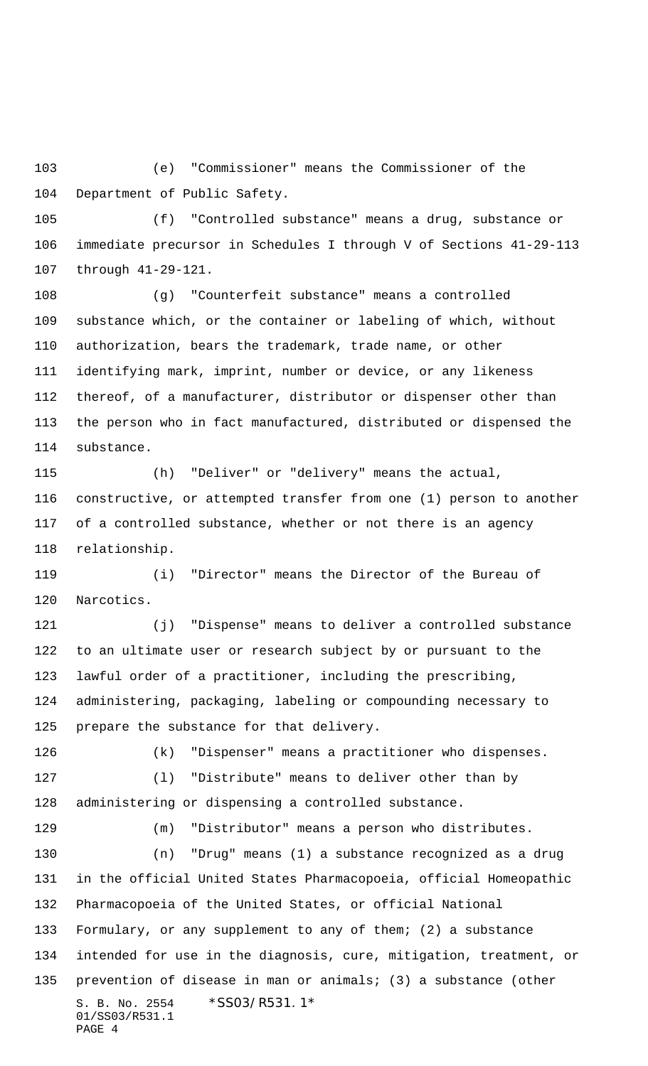(e) "Commissioner" means the Commissioner of the Department of Public Safety.

 (f) "Controlled substance" means a drug, substance or immediate precursor in Schedules I through V of Sections 41-29-113 through 41-29-121.

 (g) "Counterfeit substance" means a controlled substance which, or the container or labeling of which, without authorization, bears the trademark, trade name, or other identifying mark, imprint, number or device, or any likeness thereof, of a manufacturer, distributor or dispenser other than the person who in fact manufactured, distributed or dispensed the substance.

 (h) "Deliver" or "delivery" means the actual, constructive, or attempted transfer from one (1) person to another of a controlled substance, whether or not there is an agency relationship.

 (i) "Director" means the Director of the Bureau of Narcotics.

 (j) "Dispense" means to deliver a controlled substance to an ultimate user or research subject by or pursuant to the lawful order of a practitioner, including the prescribing, administering, packaging, labeling or compounding necessary to prepare the substance for that delivery.

(k) "Dispenser" means a practitioner who dispenses.

 (l) "Distribute" means to deliver other than by administering or dispensing a controlled substance.

S. B. No. 2554 \*SS03/R531.1\* 01/SS03/R531.1 PAGE 4 (m) "Distributor" means a person who distributes. (n) "Drug" means (1) a substance recognized as a drug in the official United States Pharmacopoeia, official Homeopathic Pharmacopoeia of the United States, or official National Formulary, or any supplement to any of them; (2) a substance intended for use in the diagnosis, cure, mitigation, treatment, or prevention of disease in man or animals; (3) a substance (other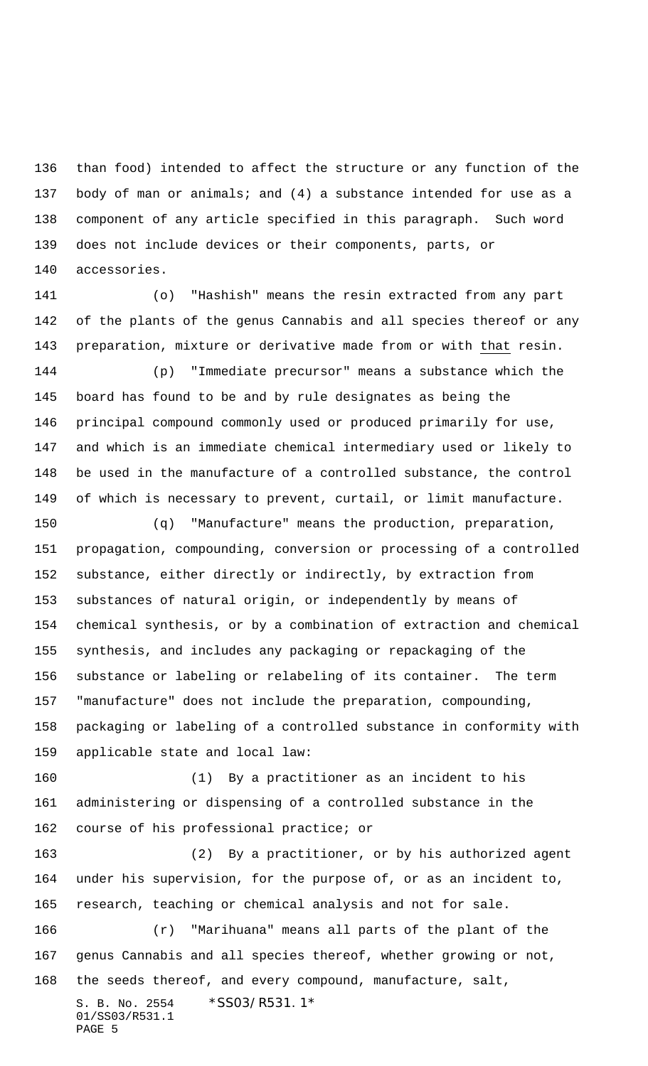than food) intended to affect the structure or any function of the body of man or animals; and (4) a substance intended for use as a component of any article specified in this paragraph. Such word does not include devices or their components, parts, or accessories.

 (o) "Hashish" means the resin extracted from any part of the plants of the genus Cannabis and all species thereof or any preparation, mixture or derivative made from or with that resin. (p) "Immediate precursor" means a substance which the

 board has found to be and by rule designates as being the principal compound commonly used or produced primarily for use, and which is an immediate chemical intermediary used or likely to be used in the manufacture of a controlled substance, the control of which is necessary to prevent, curtail, or limit manufacture.

 (q) "Manufacture" means the production, preparation, propagation, compounding, conversion or processing of a controlled substance, either directly or indirectly, by extraction from substances of natural origin, or independently by means of chemical synthesis, or by a combination of extraction and chemical synthesis, and includes any packaging or repackaging of the substance or labeling or relabeling of its container. The term "manufacture" does not include the preparation, compounding, packaging or labeling of a controlled substance in conformity with applicable state and local law:

 (1) By a practitioner as an incident to his administering or dispensing of a controlled substance in the 162 course of his professional practice; or

 (2) By a practitioner, or by his authorized agent under his supervision, for the purpose of, or as an incident to, research, teaching or chemical analysis and not for sale.

S. B. No. 2554 \*SS03/R531.1\* 01/SS03/R531.1 PAGE 5 (r) "Marihuana" means all parts of the plant of the genus Cannabis and all species thereof, whether growing or not, the seeds thereof, and every compound, manufacture, salt,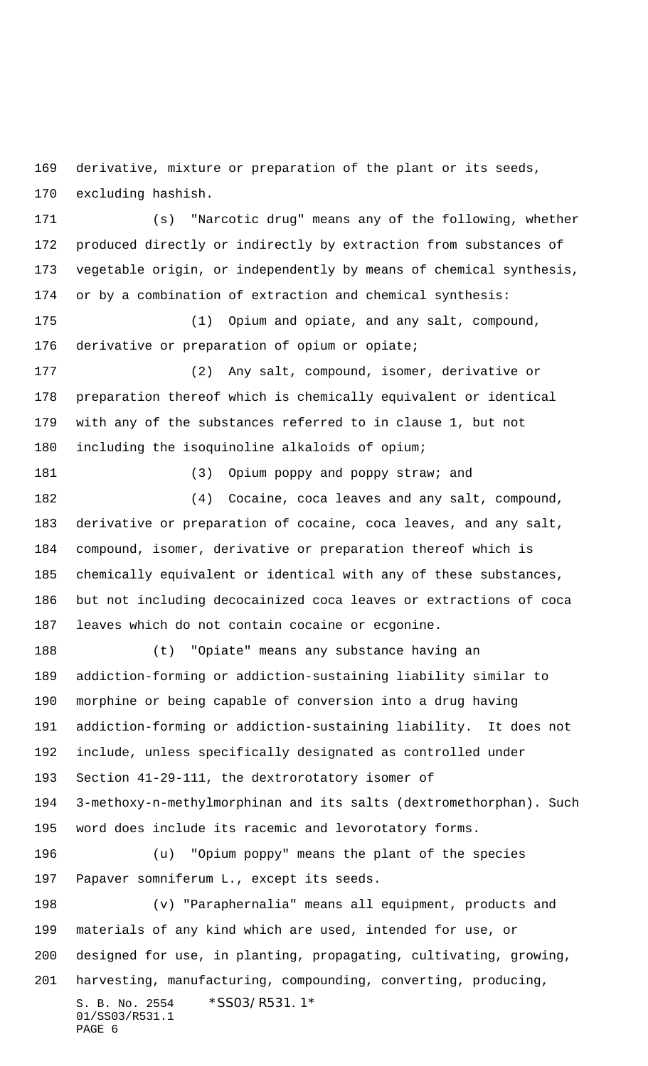derivative, mixture or preparation of the plant or its seeds, excluding hashish.

 (s) "Narcotic drug" means any of the following, whether produced directly or indirectly by extraction from substances of vegetable origin, or independently by means of chemical synthesis, or by a combination of extraction and chemical synthesis: (1) Opium and opiate, and any salt, compound, derivative or preparation of opium or opiate; (2) Any salt, compound, isomer, derivative or preparation thereof which is chemically equivalent or identical with any of the substances referred to in clause 1, but not including the isoquinoline alkaloids of opium;

181 (3) Opium poppy and poppy straw; and (4) Cocaine, coca leaves and any salt, compound, derivative or preparation of cocaine, coca leaves, and any salt, compound, isomer, derivative or preparation thereof which is chemically equivalent or identical with any of these substances, but not including decocainized coca leaves or extractions of coca leaves which do not contain cocaine or ecgonine.

 (t) "Opiate" means any substance having an addiction-forming or addiction-sustaining liability similar to morphine or being capable of conversion into a drug having addiction-forming or addiction-sustaining liability. It does not include, unless specifically designated as controlled under Section 41-29-111, the dextrorotatory isomer of 3-methoxy-n-methylmorphinan and its salts (dextromethorphan). Such word does include its racemic and levorotatory forms. (u) "Opium poppy" means the plant of the species Papaver somniferum L., except its seeds. (v) "Paraphernalia" means all equipment, products and materials of any kind which are used, intended for use, or designed for use, in planting, propagating, cultivating, growing, harvesting, manufacturing, compounding, converting, producing,

```
S. B. No. 2554 * SS03/R531.1*
01/SS03/R531.1
PAGE 6
```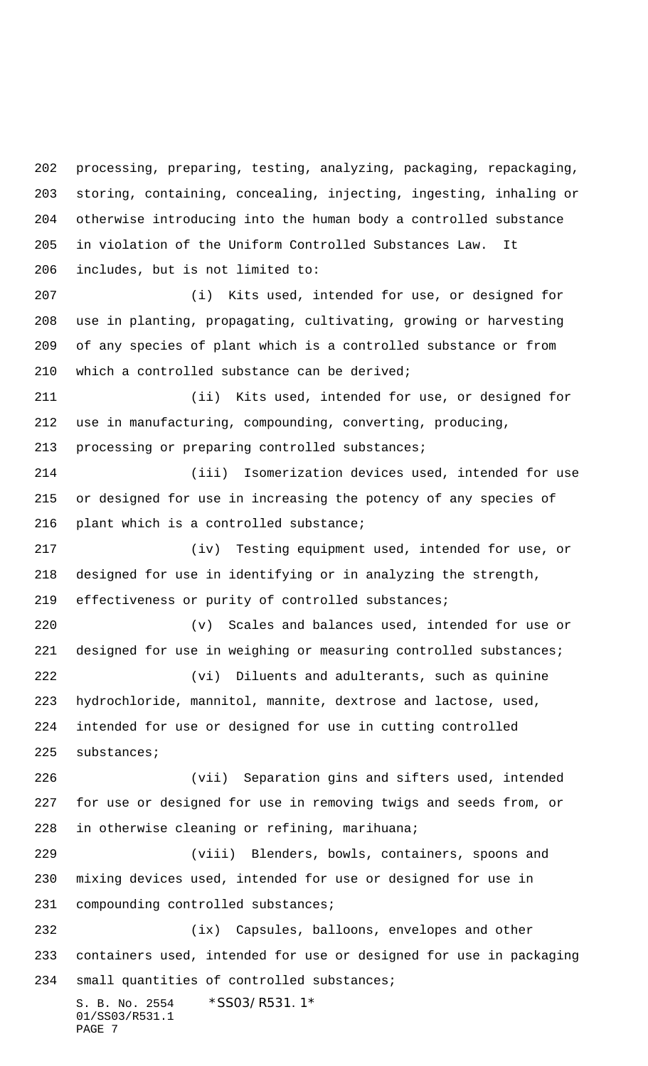S. B. No. 2554 \* SS03/R531.1\* 01/SS03/R531.1 PAGE 7 processing, preparing, testing, analyzing, packaging, repackaging, storing, containing, concealing, injecting, ingesting, inhaling or otherwise introducing into the human body a controlled substance in violation of the Uniform Controlled Substances Law. It includes, but is not limited to: (i) Kits used, intended for use, or designed for use in planting, propagating, cultivating, growing or harvesting of any species of plant which is a controlled substance or from which a controlled substance can be derived; (ii) Kits used, intended for use, or designed for use in manufacturing, compounding, converting, producing, processing or preparing controlled substances; (iii) Isomerization devices used, intended for use or designed for use in increasing the potency of any species of 216 plant which is a controlled substance; (iv) Testing equipment used, intended for use, or designed for use in identifying or in analyzing the strength, effectiveness or purity of controlled substances; (v) Scales and balances used, intended for use or 221 designed for use in weighing or measuring controlled substances; (vi) Diluents and adulterants, such as quinine hydrochloride, mannitol, mannite, dextrose and lactose, used, intended for use or designed for use in cutting controlled substances; (vii) Separation gins and sifters used, intended for use or designed for use in removing twigs and seeds from, or in otherwise cleaning or refining, marihuana; (viii) Blenders, bowls, containers, spoons and mixing devices used, intended for use or designed for use in compounding controlled substances; (ix) Capsules, balloons, envelopes and other containers used, intended for use or designed for use in packaging small quantities of controlled substances;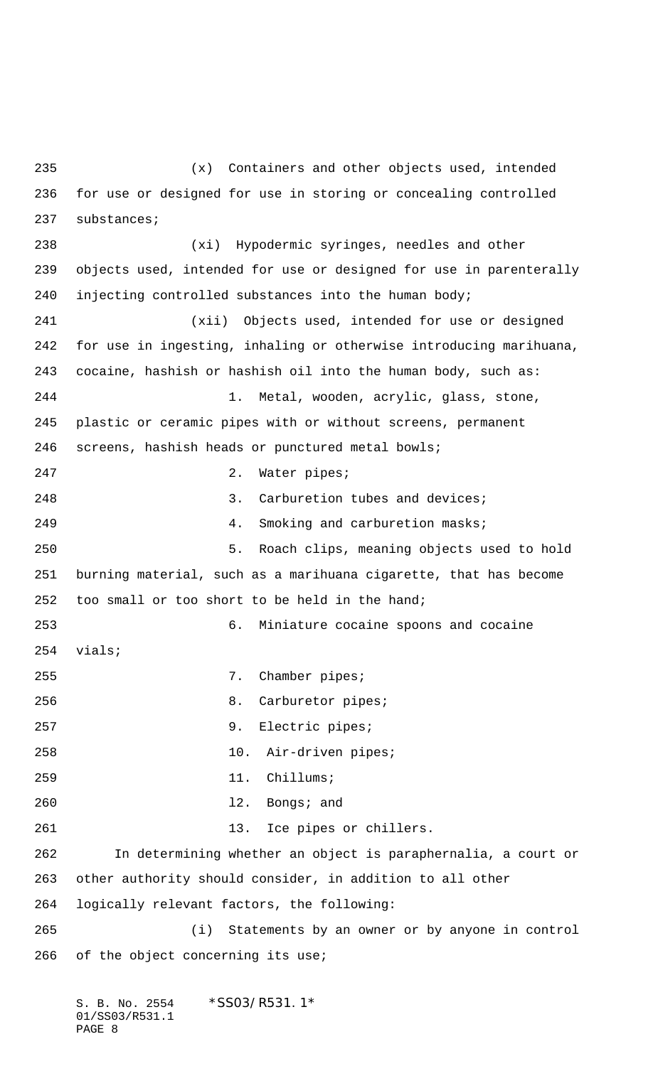(x) Containers and other objects used, intended for use or designed for use in storing or concealing controlled substances; (xi) Hypodermic syringes, needles and other objects used, intended for use or designed for use in parenterally injecting controlled substances into the human body; (xii) Objects used, intended for use or designed for use in ingesting, inhaling or otherwise introducing marihuana, cocaine, hashish or hashish oil into the human body, such as: 1. Metal, wooden, acrylic, glass, stone, plastic or ceramic pipes with or without screens, permanent screens, hashish heads or punctured metal bowls; 247 2. Water pipes; 248 3. Carburetion tubes and devices; 4. Smoking and carburetion masks; 5. Roach clips, meaning objects used to hold burning material, such as a marihuana cigarette, that has become too small or too short to be held in the hand; 6. Miniature cocaine spoons and cocaine vials; 255 7. Chamber pipes; 8. Carburetor pipes; 9. Electric pipes; 10. Air-driven pipes; 11. Chillums; l2. Bongs; and 261 13. Ice pipes or chillers. In determining whether an object is paraphernalia, a court or other authority should consider, in addition to all other logically relevant factors, the following: (i) Statements by an owner or by anyone in control 266 of the object concerning its use;

S. B. No. 2554 \* SS03/R531.1\* 01/SS03/R531.1 PAGE 8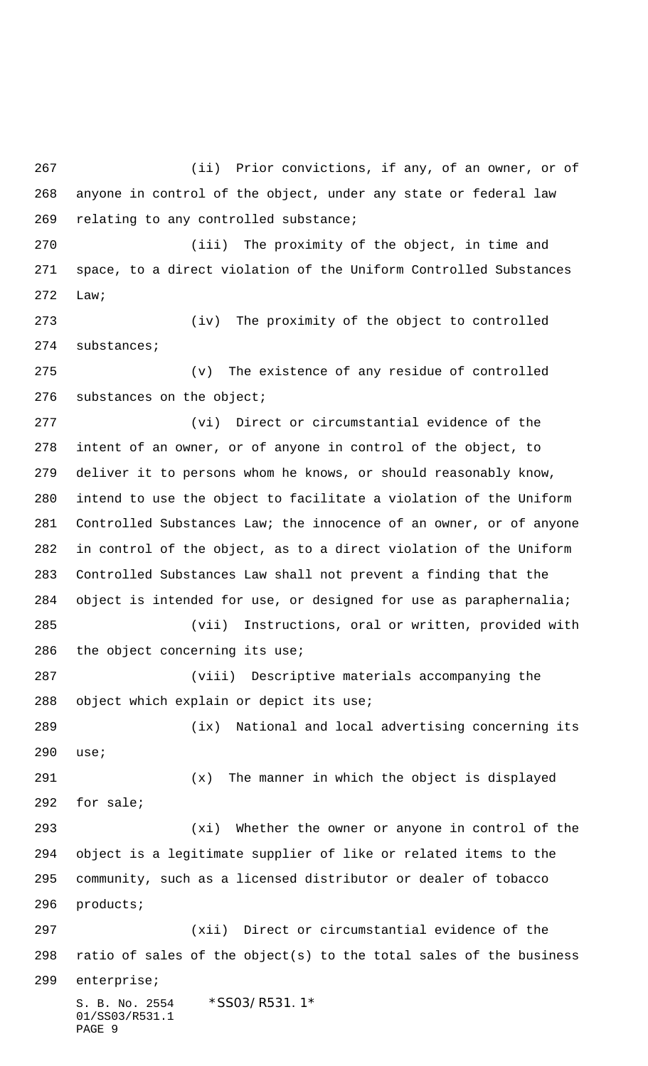S. B. No. 2554 \*SS03/R531.1\* 01/SS03/R531.1 PAGE 9 (ii) Prior convictions, if any, of an owner, or of anyone in control of the object, under any state or federal law relating to any controlled substance; (iii) The proximity of the object, in time and space, to a direct violation of the Uniform Controlled Substances Law; (iv) The proximity of the object to controlled substances; (v) The existence of any residue of controlled substances on the object; (vi) Direct or circumstantial evidence of the intent of an owner, or of anyone in control of the object, to deliver it to persons whom he knows, or should reasonably know, intend to use the object to facilitate a violation of the Uniform Controlled Substances Law; the innocence of an owner, or of anyone in control of the object, as to a direct violation of the Uniform Controlled Substances Law shall not prevent a finding that the object is intended for use, or designed for use as paraphernalia; (vii) Instructions, oral or written, provided with 286 the object concerning its use; (viii) Descriptive materials accompanying the object which explain or depict its use; (ix) National and local advertising concerning its use; (x) The manner in which the object is displayed for sale; (xi) Whether the owner or anyone in control of the object is a legitimate supplier of like or related items to the community, such as a licensed distributor or dealer of tobacco products; (xii) Direct or circumstantial evidence of the ratio of sales of the object(s) to the total sales of the business enterprise;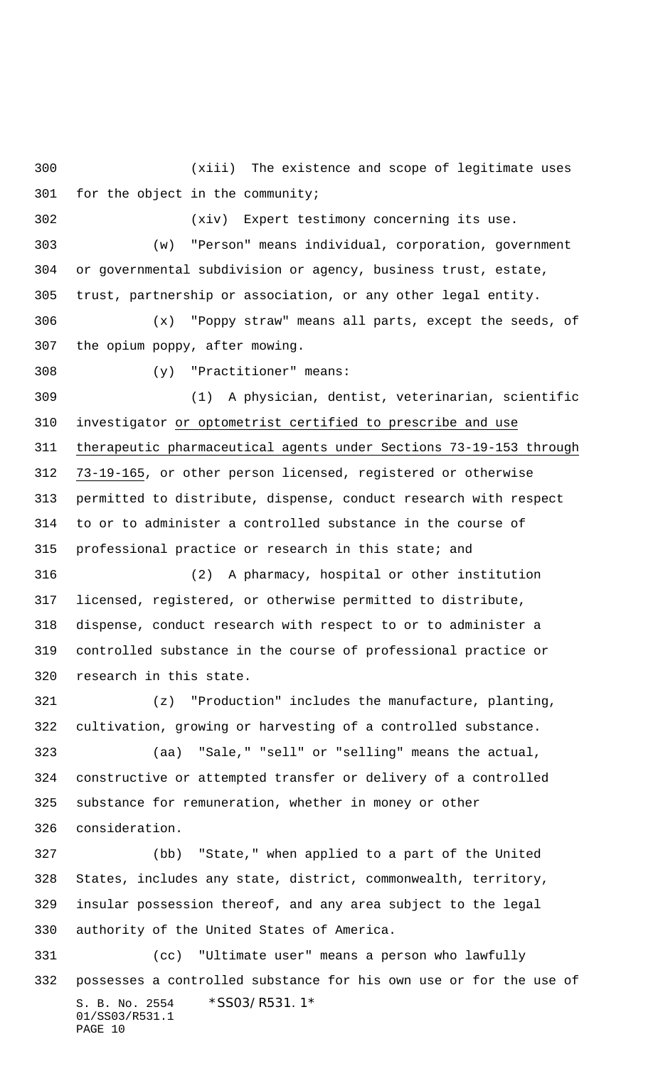(xiii) The existence and scope of legitimate uses for the object in the community;

(xiv) Expert testimony concerning its use.

 (w) "Person" means individual, corporation, government or governmental subdivision or agency, business trust, estate, trust, partnership or association, or any other legal entity.

 (x) "Poppy straw" means all parts, except the seeds, of the opium poppy, after mowing.

(y) "Practitioner" means:

 (1) A physician, dentist, veterinarian, scientific investigator or optometrist certified to prescribe and use therapeutic pharmaceutical agents under Sections 73-19-153 through 73-19-165, or other person licensed, registered or otherwise permitted to distribute, dispense, conduct research with respect to or to administer a controlled substance in the course of professional practice or research in this state; and

 (2) A pharmacy, hospital or other institution licensed, registered, or otherwise permitted to distribute, dispense, conduct research with respect to or to administer a controlled substance in the course of professional practice or research in this state.

 (z) "Production" includes the manufacture, planting, cultivation, growing or harvesting of a controlled substance.

 (aa) "Sale," "sell" or "selling" means the actual, constructive or attempted transfer or delivery of a controlled substance for remuneration, whether in money or other consideration.

 (bb) "State," when applied to a part of the United States, includes any state, district, commonwealth, territory, insular possession thereof, and any area subject to the legal authority of the United States of America.

S. B. No. 2554 \*SS03/R531.1\* 01/SS03/R531.1 PAGE 10 (cc) "Ultimate user" means a person who lawfully possesses a controlled substance for his own use or for the use of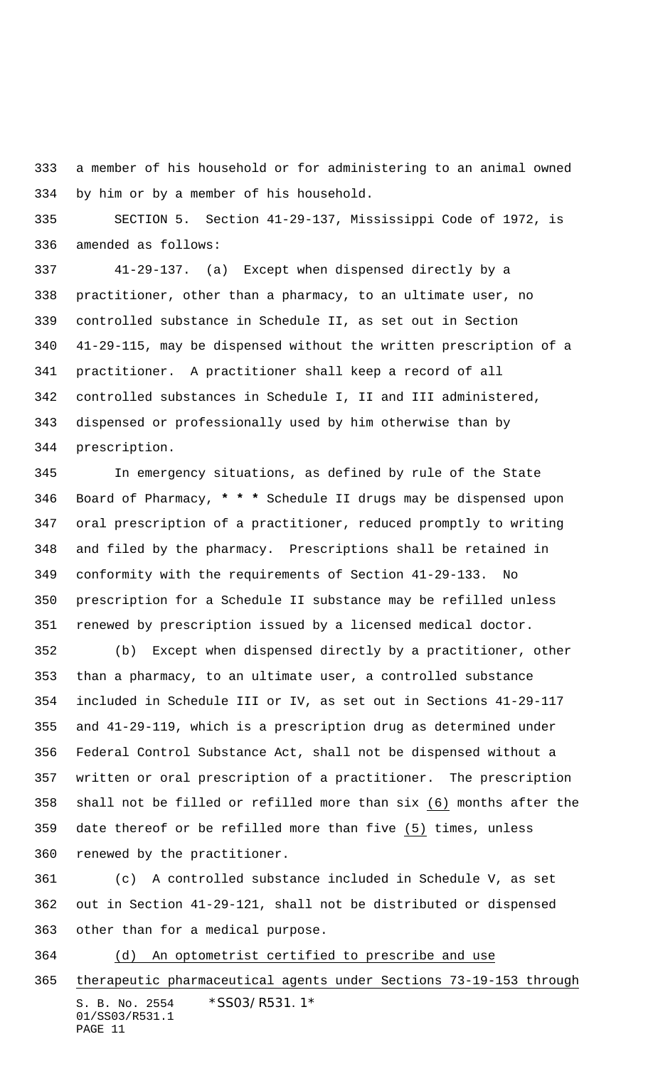a member of his household or for administering to an animal owned by him or by a member of his household.

 SECTION 5. Section 41-29-137, Mississippi Code of 1972, is amended as follows:

 41-29-137. (a) Except when dispensed directly by a practitioner, other than a pharmacy, to an ultimate user, no controlled substance in Schedule II, as set out in Section 41-29-115, may be dispensed without the written prescription of a practitioner. A practitioner shall keep a record of all controlled substances in Schedule I, II and III administered, dispensed or professionally used by him otherwise than by prescription.

 In emergency situations, as defined by rule of the State Board of Pharmacy, **\* \* \*** Schedule II drugs may be dispensed upon oral prescription of a practitioner, reduced promptly to writing and filed by the pharmacy. Prescriptions shall be retained in conformity with the requirements of Section 41-29-133. No prescription for a Schedule II substance may be refilled unless renewed by prescription issued by a licensed medical doctor.

 (b) Except when dispensed directly by a practitioner, other than a pharmacy, to an ultimate user, a controlled substance included in Schedule III or IV, as set out in Sections 41-29-117 and 41-29-119, which is a prescription drug as determined under Federal Control Substance Act, shall not be dispensed without a written or oral prescription of a practitioner. The prescription shall not be filled or refilled more than six (6) months after the date thereof or be refilled more than five (5) times, unless renewed by the practitioner.

 (c) A controlled substance included in Schedule V, as set out in Section 41-29-121, shall not be distributed or dispensed other than for a medical purpose.

(d) An optometrist certified to prescribe and use

S. B. No. 2554 \*SS03/R531.1\* 01/SS03/R531.1 PAGE 11 therapeutic pharmaceutical agents under Sections 73-19-153 through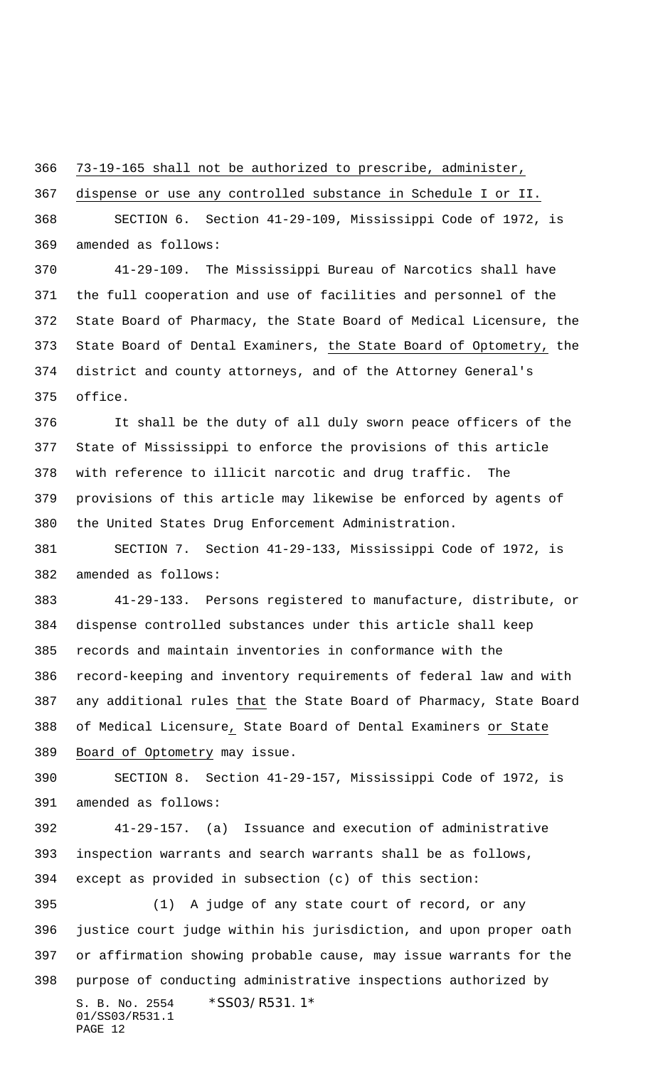73-19-165 shall not be authorized to prescribe, administer,

dispense or use any controlled substance in Schedule I or II.

 SECTION 6. Section 41-29-109, Mississippi Code of 1972, is amended as follows:

 41-29-109. The Mississippi Bureau of Narcotics shall have the full cooperation and use of facilities and personnel of the State Board of Pharmacy, the State Board of Medical Licensure, the 373 State Board of Dental Examiners, the State Board of Optometry, the district and county attorneys, and of the Attorney General's office.

 It shall be the duty of all duly sworn peace officers of the State of Mississippi to enforce the provisions of this article with reference to illicit narcotic and drug traffic. The provisions of this article may likewise be enforced by agents of the United States Drug Enforcement Administration.

 SECTION 7. Section 41-29-133, Mississippi Code of 1972, is amended as follows:

 41-29-133. Persons registered to manufacture, distribute, or dispense controlled substances under this article shall keep records and maintain inventories in conformance with the record-keeping and inventory requirements of federal law and with any additional rules that the State Board of Pharmacy, State Board of Medical Licensure, State Board of Dental Examiners or State Board of Optometry may issue.

 SECTION 8. Section 41-29-157, Mississippi Code of 1972, is amended as follows:

 41-29-157. (a) Issuance and execution of administrative inspection warrants and search warrants shall be as follows, except as provided in subsection (c) of this section:

S. B. No. 2554 \* SS03/R531.1\* 01/SS03/R531.1 PAGE 12 (1) A judge of any state court of record, or any justice court judge within his jurisdiction, and upon proper oath or affirmation showing probable cause, may issue warrants for the purpose of conducting administrative inspections authorized by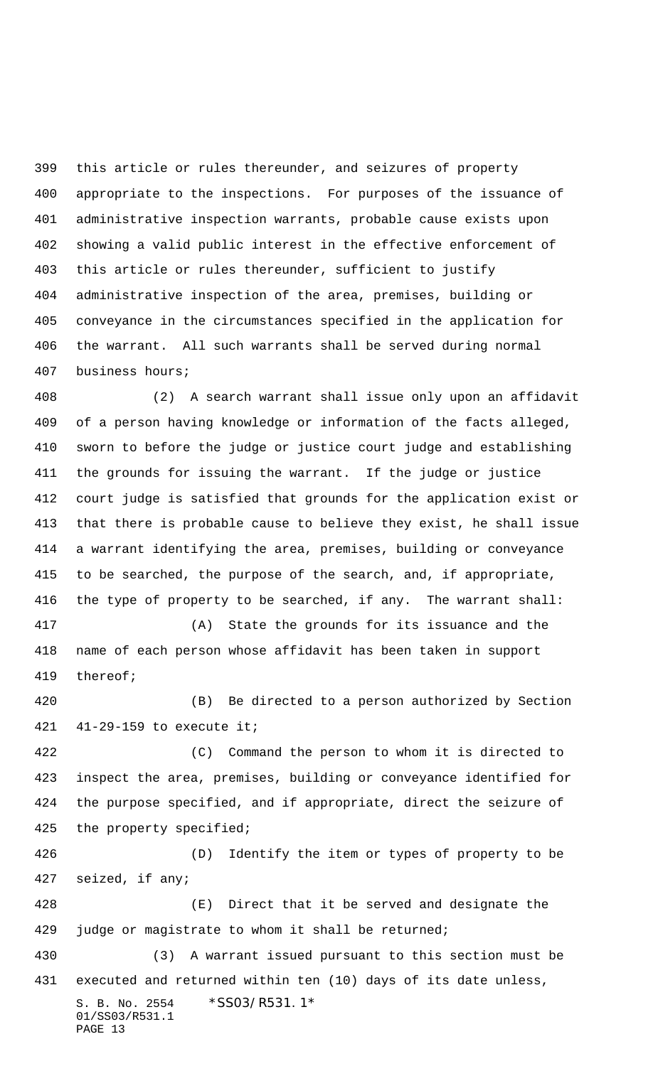this article or rules thereunder, and seizures of property appropriate to the inspections. For purposes of the issuance of administrative inspection warrants, probable cause exists upon showing a valid public interest in the effective enforcement of this article or rules thereunder, sufficient to justify administrative inspection of the area, premises, building or conveyance in the circumstances specified in the application for the warrant. All such warrants shall be served during normal business hours;

 (2) A search warrant shall issue only upon an affidavit of a person having knowledge or information of the facts alleged, sworn to before the judge or justice court judge and establishing the grounds for issuing the warrant. If the judge or justice court judge is satisfied that grounds for the application exist or that there is probable cause to believe they exist, he shall issue a warrant identifying the area, premises, building or conveyance to be searched, the purpose of the search, and, if appropriate, the type of property to be searched, if any. The warrant shall:

 (A) State the grounds for its issuance and the name of each person whose affidavit has been taken in support thereof;

 (B) Be directed to a person authorized by Section 41-29-159 to execute it;

 (C) Command the person to whom it is directed to inspect the area, premises, building or conveyance identified for the purpose specified, and if appropriate, direct the seizure of the property specified;

 (D) Identify the item or types of property to be seized, if any;

 (E) Direct that it be served and designate the judge or magistrate to whom it shall be returned;

S. B. No. 2554 \*SS03/R531.1\* 01/SS03/R531.1 PAGE 13 (3) A warrant issued pursuant to this section must be executed and returned within ten (10) days of its date unless,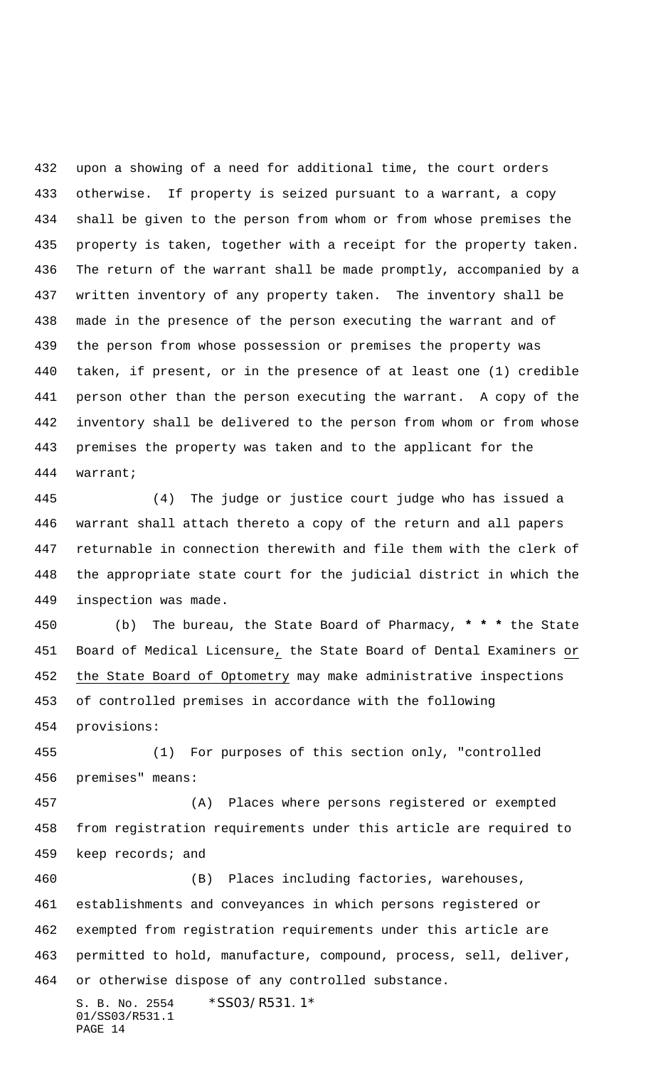upon a showing of a need for additional time, the court orders otherwise. If property is seized pursuant to a warrant, a copy shall be given to the person from whom or from whose premises the property is taken, together with a receipt for the property taken. The return of the warrant shall be made promptly, accompanied by a written inventory of any property taken. The inventory shall be made in the presence of the person executing the warrant and of the person from whose possession or premises the property was taken, if present, or in the presence of at least one (1) credible person other than the person executing the warrant. A copy of the inventory shall be delivered to the person from whom or from whose premises the property was taken and to the applicant for the warrant;

 (4) The judge or justice court judge who has issued a warrant shall attach thereto a copy of the return and all papers returnable in connection therewith and file them with the clerk of the appropriate state court for the judicial district in which the inspection was made.

 (b) The bureau, the State Board of Pharmacy, **\* \* \*** the State Board of Medical Licensure, the State Board of Dental Examiners or the State Board of Optometry may make administrative inspections of controlled premises in accordance with the following provisions:

 (1) For purposes of this section only, "controlled premises" means:

 (A) Places where persons registered or exempted from registration requirements under this article are required to keep records; and

 (B) Places including factories, warehouses, establishments and conveyances in which persons registered or exempted from registration requirements under this article are permitted to hold, manufacture, compound, process, sell, deliver, or otherwise dispose of any controlled substance.

S. B. No. 2554 \*SS03/R531.1\* 01/SS03/R531.1 PAGE 14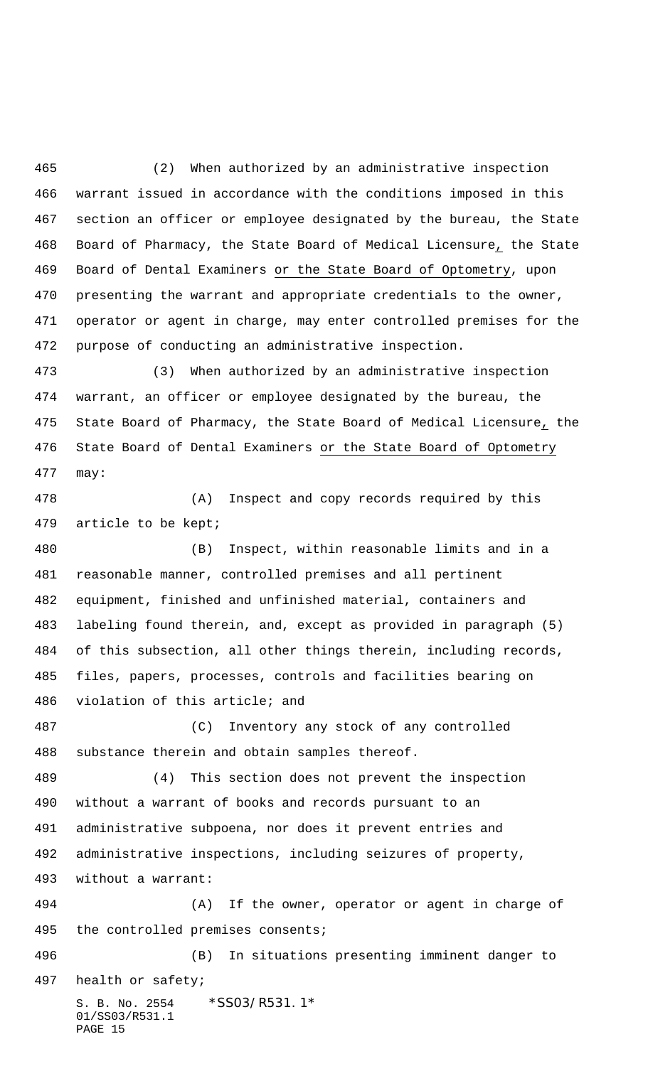(2) When authorized by an administrative inspection warrant issued in accordance with the conditions imposed in this section an officer or employee designated by the bureau, the State Board of Pharmacy, the State Board of Medical Licensure, the State Board of Dental Examiners or the State Board of Optometry, upon presenting the warrant and appropriate credentials to the owner, operator or agent in charge, may enter controlled premises for the purpose of conducting an administrative inspection.

 (3) When authorized by an administrative inspection warrant, an officer or employee designated by the bureau, the State Board of Pharmacy, the State Board of Medical Licensure, the State Board of Dental Examiners or the State Board of Optometry may:

 (A) Inspect and copy records required by this article to be kept;

 (B) Inspect, within reasonable limits and in a reasonable manner, controlled premises and all pertinent equipment, finished and unfinished material, containers and labeling found therein, and, except as provided in paragraph (5) of this subsection, all other things therein, including records, files, papers, processes, controls and facilities bearing on violation of this article; and

 (C) Inventory any stock of any controlled substance therein and obtain samples thereof.

 (4) This section does not prevent the inspection without a warrant of books and records pursuant to an administrative subpoena, nor does it prevent entries and administrative inspections, including seizures of property, without a warrant:

 (A) If the owner, operator or agent in charge of the controlled premises consents;

S. B. No. 2554 \*SS03/R531.1\* (B) In situations presenting imminent danger to health or safety;

```
01/SS03/R531.1
PAGE 15
```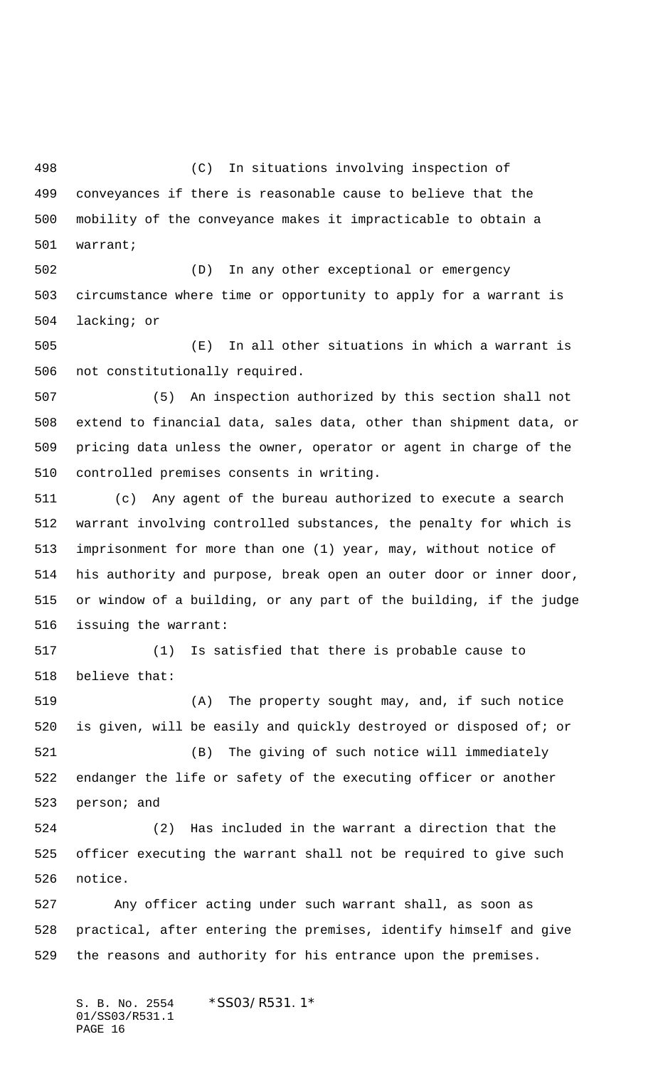(C) In situations involving inspection of conveyances if there is reasonable cause to believe that the mobility of the conveyance makes it impracticable to obtain a warrant;

 (D) In any other exceptional or emergency circumstance where time or opportunity to apply for a warrant is lacking; or

 (E) In all other situations in which a warrant is not constitutionally required.

 (5) An inspection authorized by this section shall not extend to financial data, sales data, other than shipment data, or pricing data unless the owner, operator or agent in charge of the controlled premises consents in writing.

 (c) Any agent of the bureau authorized to execute a search warrant involving controlled substances, the penalty for which is imprisonment for more than one (1) year, may, without notice of his authority and purpose, break open an outer door or inner door, or window of a building, or any part of the building, if the judge issuing the warrant:

 (1) Is satisfied that there is probable cause to believe that:

 (A) The property sought may, and, if such notice is given, will be easily and quickly destroyed or disposed of; or (B) The giving of such notice will immediately

 endanger the life or safety of the executing officer or another person; and

 (2) Has included in the warrant a direction that the officer executing the warrant shall not be required to give such notice.

 Any officer acting under such warrant shall, as soon as practical, after entering the premises, identify himself and give the reasons and authority for his entrance upon the premises.

S. B. No. 2554 \*SS03/R531.1\* 01/SS03/R531.1 PAGE 16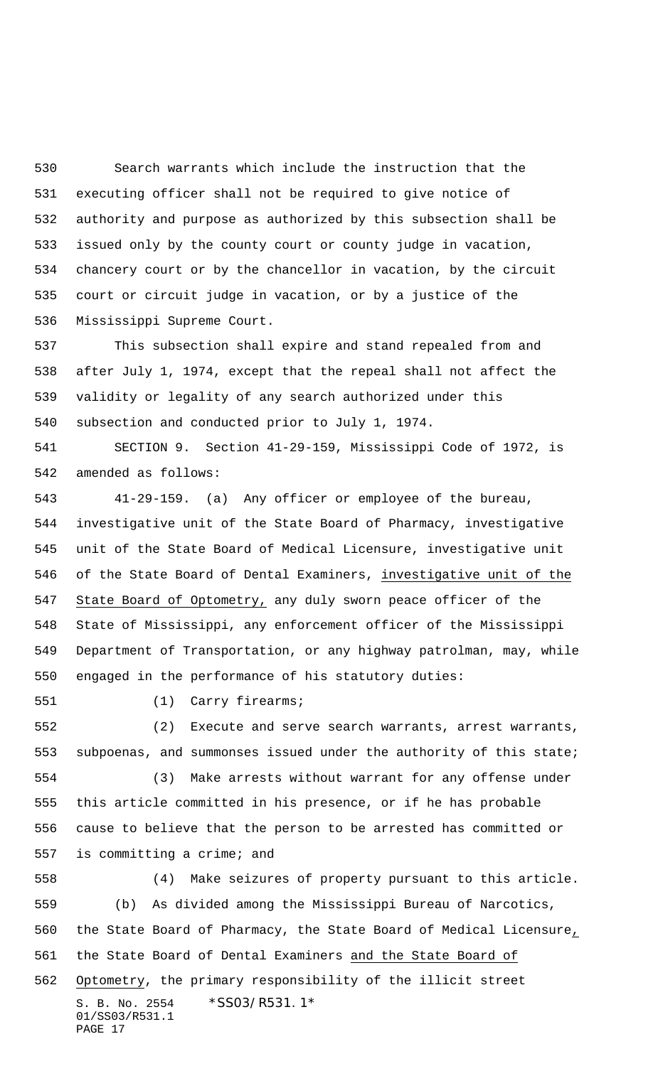Search warrants which include the instruction that the executing officer shall not be required to give notice of authority and purpose as authorized by this subsection shall be issued only by the county court or county judge in vacation, chancery court or by the chancellor in vacation, by the circuit court or circuit judge in vacation, or by a justice of the Mississippi Supreme Court.

 This subsection shall expire and stand repealed from and after July 1, 1974, except that the repeal shall not affect the validity or legality of any search authorized under this subsection and conducted prior to July 1, 1974.

 SECTION 9. Section 41-29-159, Mississippi Code of 1972, is amended as follows:

 41-29-159. (a) Any officer or employee of the bureau, investigative unit of the State Board of Pharmacy, investigative unit of the State Board of Medical Licensure, investigative unit of the State Board of Dental Examiners, investigative unit of the State Board of Optometry, any duly sworn peace officer of the State of Mississippi, any enforcement officer of the Mississippi Department of Transportation, or any highway patrolman, may, while engaged in the performance of his statutory duties:

(1) Carry firearms;

 (2) Execute and serve search warrants, arrest warrants, subpoenas, and summonses issued under the authority of this state;

 (3) Make arrests without warrant for any offense under this article committed in his presence, or if he has probable cause to believe that the person to be arrested has committed or is committing a crime; and

S. B. No. 2554 \*SS03/R531.1\* 01/SS03/R531.1 PAGE 17 (4) Make seizures of property pursuant to this article. (b) As divided among the Mississippi Bureau of Narcotics, the State Board of Pharmacy, the State Board of Medical Licensure, 561 the State Board of Dental Examiners and the State Board of Optometry, the primary responsibility of the illicit street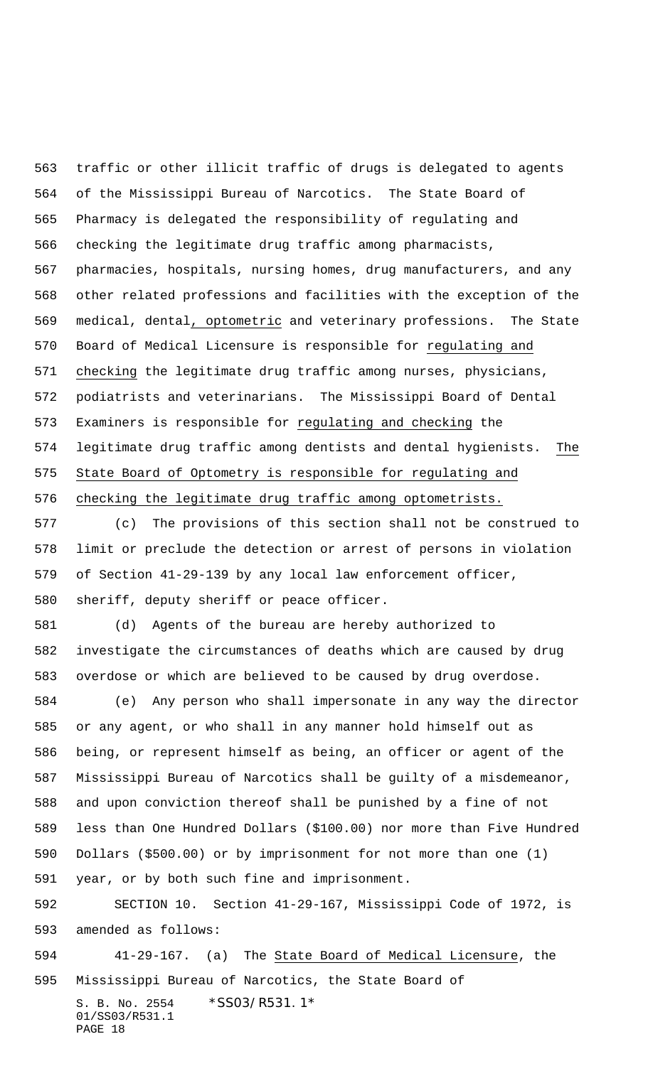traffic or other illicit traffic of drugs is delegated to agents of the Mississippi Bureau of Narcotics. The State Board of Pharmacy is delegated the responsibility of regulating and checking the legitimate drug traffic among pharmacists, pharmacies, hospitals, nursing homes, drug manufacturers, and any other related professions and facilities with the exception of the medical, dental, optometric and veterinary professions. The State Board of Medical Licensure is responsible for regulating and checking the legitimate drug traffic among nurses, physicians, podiatrists and veterinarians. The Mississippi Board of Dental 573 Examiners is responsible for regulating and checking the legitimate drug traffic among dentists and dental hygienists. The State Board of Optometry is responsible for regulating and checking the legitimate drug traffic among optometrists.

 (c) The provisions of this section shall not be construed to limit or preclude the detection or arrest of persons in violation of Section 41-29-139 by any local law enforcement officer, sheriff, deputy sheriff or peace officer.

 (d) Agents of the bureau are hereby authorized to investigate the circumstances of deaths which are caused by drug overdose or which are believed to be caused by drug overdose.

 (e) Any person who shall impersonate in any way the director or any agent, or who shall in any manner hold himself out as being, or represent himself as being, an officer or agent of the Mississippi Bureau of Narcotics shall be guilty of a misdemeanor, and upon conviction thereof shall be punished by a fine of not less than One Hundred Dollars (\$100.00) nor more than Five Hundred Dollars (\$500.00) or by imprisonment for not more than one (1) year, or by both such fine and imprisonment.

 SECTION 10. Section 41-29-167, Mississippi Code of 1972, is amended as follows:

S. B. No. 2554 \* SS03/R531.1\* 01/SS03/R531.1 41-29-167. (a) The State Board of Medical Licensure, the Mississippi Bureau of Narcotics, the State Board of

```
PAGE 18
```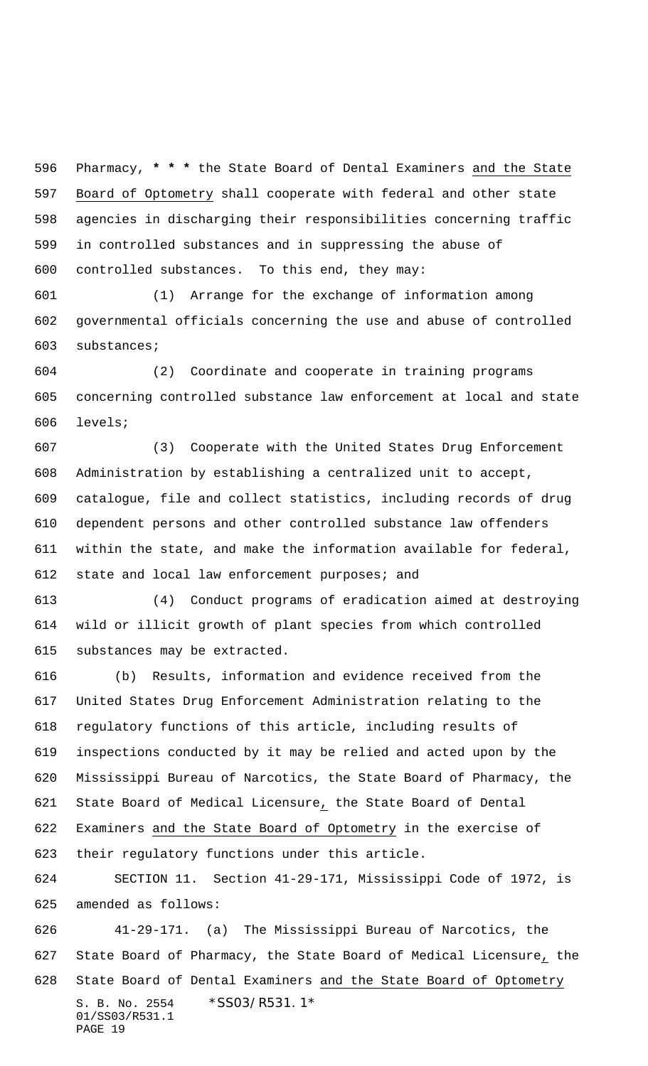Pharmacy, **\* \* \*** the State Board of Dental Examiners and the State Board of Optometry shall cooperate with federal and other state agencies in discharging their responsibilities concerning traffic in controlled substances and in suppressing the abuse of controlled substances. To this end, they may:

 (1) Arrange for the exchange of information among governmental officials concerning the use and abuse of controlled substances;

 (2) Coordinate and cooperate in training programs concerning controlled substance law enforcement at local and state levels;

 (3) Cooperate with the United States Drug Enforcement Administration by establishing a centralized unit to accept, catalogue, file and collect statistics, including records of drug dependent persons and other controlled substance law offenders within the state, and make the information available for federal, state and local law enforcement purposes; and

 (4) Conduct programs of eradication aimed at destroying wild or illicit growth of plant species from which controlled substances may be extracted.

 (b) Results, information and evidence received from the United States Drug Enforcement Administration relating to the regulatory functions of this article, including results of inspections conducted by it may be relied and acted upon by the Mississippi Bureau of Narcotics, the State Board of Pharmacy, the State Board of Medical Licensure, the State Board of Dental Examiners and the State Board of Optometry in the exercise of their regulatory functions under this article.

 SECTION 11. Section 41-29-171, Mississippi Code of 1972, is amended as follows:

S. B. No. 2554 \* SS03/R531.1\* 01/SS03/R531.1 PAGE 19 41-29-171. (a) The Mississippi Bureau of Narcotics, the State Board of Pharmacy, the State Board of Medical Licensure, the 628 State Board of Dental Examiners and the State Board of Optometry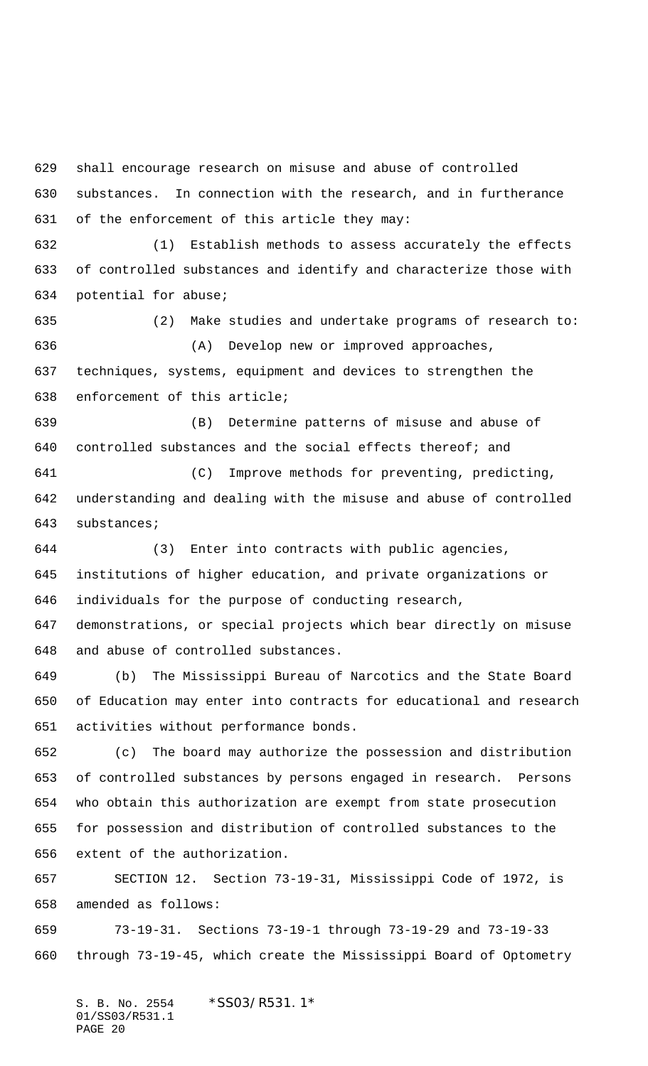shall encourage research on misuse and abuse of controlled substances. In connection with the research, and in furtherance of the enforcement of this article they may: (1) Establish methods to assess accurately the effects of controlled substances and identify and characterize those with potential for abuse; (2) Make studies and undertake programs of research to: (A) Develop new or improved approaches, techniques, systems, equipment and devices to strengthen the enforcement of this article; (B) Determine patterns of misuse and abuse of controlled substances and the social effects thereof; and (C) Improve methods for preventing, predicting, understanding and dealing with the misuse and abuse of controlled substances; (3) Enter into contracts with public agencies, institutions of higher education, and private organizations or individuals for the purpose of conducting research, demonstrations, or special projects which bear directly on misuse and abuse of controlled substances. (b) The Mississippi Bureau of Narcotics and the State Board of Education may enter into contracts for educational and research activities without performance bonds. (c) The board may authorize the possession and distribution of controlled substances by persons engaged in research. Persons who obtain this authorization are exempt from state prosecution for possession and distribution of controlled substances to the extent of the authorization. SECTION 12. Section 73-19-31, Mississippi Code of 1972, is amended as follows: 73-19-31. Sections 73-19-1 through 73-19-29 and 73-19-33

through 73-19-45, which create the Mississippi Board of Optometry

S. B. No. 2554 \*SS03/R531.1\* 01/SS03/R531.1 PAGE 20